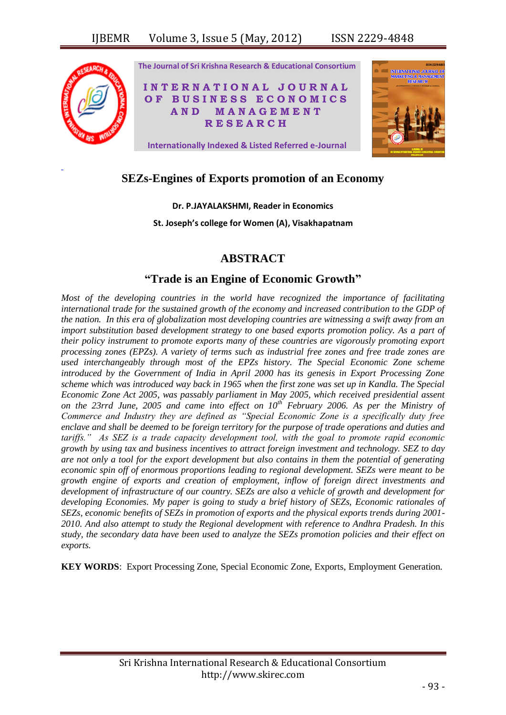

# **SEZs-Engines of Exports promotion of an Economy**

**Dr. P.JAYALAKSHMI, Reader in Economics**

**St. Joseph's college for Women (A), Visakhapatnam**

# **ABSTRACT**

# **"Trade is an Engine of Economic Growth"**

*Most of the developing countries in the world have recognized the importance of facilitating international trade for the sustained growth of the economy and increased contribution to the GDP of the nation. In this era of globalization most developing countries are witnessing a swift away from an import substitution based development strategy to one based exports promotion policy. As a part of their policy instrument to promote exports many of these countries are vigorously promoting export processing zones (EPZs). A variety of terms such as industrial free zones and free trade zones are used interchangeably through most of the EPZs history. The Special Economic Zone scheme introduced by the Government of India in April 2000 has its genesis in Export Processing Zone scheme which was introduced way back in 1965 when the first zone was set up in Kandla. The Special Economic Zone Act 2005, was passably parliament in May 2005, which received presidential assent on the 23rrd June, 2005 and came into effect on 10th February 2006. As per the Ministry of Commerce and Industry they are defined as "Special Economic Zone is a specifically duty free enclave and shall be deemed to be foreign territory for the purpose of trade operations and duties and tariffs." As SEZ is a trade capacity development tool, with the goal to promote rapid economic growth by using tax and business incentives to attract foreign investment and technology. SEZ to day are not only a tool for the export development but also contains in them the potential of generating economic spin off of enormous proportions leading to regional development. SEZs were meant to be growth engine of exports and creation of employment, inflow of foreign direct investments and development of infrastructure of our country. SEZs are also a vehicle of growth and development for developing Economies. My paper is going to study a brief history of SEZs, Economic rationales of SEZs, economic benefits of SEZs in promotion of exports and the physical exports trends during 2001- 2010. And also attempt to study the Regional development with reference to Andhra Pradesh. In this study, the secondary data have been used to analyze the SEZs promotion policies and their effect on exports.*

**KEY WORDS**: Export Processing Zone, Special Economic Zone, Exports, Employment Generation.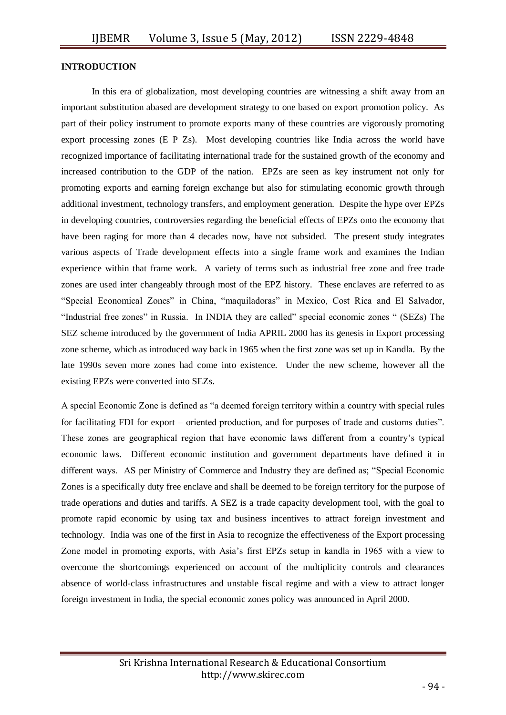#### **INTRODUCTION**

In this era of globalization, most developing countries are witnessing a shift away from an important substitution abased are development strategy to one based on export promotion policy. As part of their policy instrument to promote exports many of these countries are vigorously promoting export processing zones (E P Zs). Most developing countries like India across the world have recognized importance of facilitating international trade for the sustained growth of the economy and increased contribution to the GDP of the nation. EPZs are seen as key instrument not only for promoting exports and earning foreign exchange but also for stimulating economic growth through additional investment, technology transfers, and employment generation. Despite the hype over EPZs in developing countries, controversies regarding the beneficial effects of EPZs onto the economy that have been raging for more than 4 decades now, have not subsided. The present study integrates various aspects of Trade development effects into a single frame work and examines the Indian experience within that frame work. A variety of terms such as industrial free zone and free trade zones are used inter changeably through most of the EPZ history. These enclaves are referred to as "Special Economical Zones" in China, "maquiladoras" in Mexico, Cost Rica and El Salvador, "Industrial free zones" in Russia. In INDIA they are called" special economic zones " (SEZs) The SEZ scheme introduced by the government of India APRIL 2000 has its genesis in Export processing zone scheme, which as introduced way back in 1965 when the first zone was set up in Kandla. By the late 1990s seven more zones had come into existence. Under the new scheme, however all the existing EPZs were converted into SEZs.

A special Economic Zone is defined as "a deemed foreign territory within a country with special rules for facilitating FDI for export – oriented production, and for purposes of trade and customs duties". These zones are geographical region that have economic laws different from a country's typical economic laws. Different economic institution and government departments have defined it in different ways. AS per Ministry of Commerce and Industry they are defined as; "Special Economic Zones is a specifically duty free enclave and shall be deemed to be foreign territory for the purpose of trade operations and duties and tariffs. A SEZ is a trade capacity development tool, with the goal to promote rapid economic by using tax and business incentives to attract foreign investment and technology. India was one of the first in Asia to recognize the effectiveness of the Export processing Zone model in promoting exports, with Asia's first EPZs setup in kandla in 1965 with a view to overcome the shortcomings experienced on account of the multiplicity controls and clearances absence of world-class infrastructures and unstable fiscal regime and with a view to attract longer foreign investment in India, the special economic zones policy was announced in April 2000.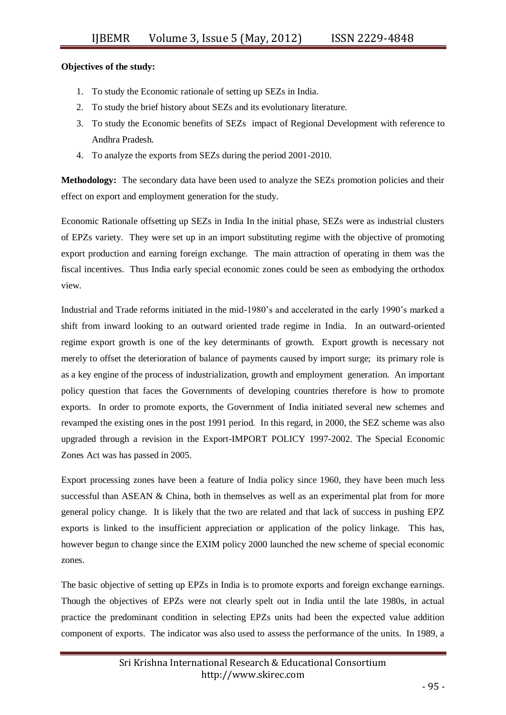## **Objectives of the study:**

- 1. To study the Economic rationale of setting up SEZs in India.
- 2. To study the brief history about SEZs and its evolutionary literature.
- 3. To study the Economic benefits of SEZs impact of Regional Development with reference to Andhra Pradesh.
- 4. To analyze the exports from SEZs during the period 2001-2010.

**Methodology:** The secondary data have been used to analyze the SEZs promotion policies and their effect on export and employment generation for the study.

Economic Rationale offsetting up SEZs in India In the initial phase, SEZs were as industrial clusters of EPZs variety. They were set up in an import substituting regime with the objective of promoting export production and earning foreign exchange. The main attraction of operating in them was the fiscal incentives. Thus India early special economic zones could be seen as embodying the orthodox view.

Industrial and Trade reforms initiated in the mid-1980's and accelerated in the early 1990's marked a shift from inward looking to an outward oriented trade regime in India. In an outward-oriented regime export growth is one of the key determinants of growth. Export growth is necessary not merely to offset the deterioration of balance of payments caused by import surge; its primary role is as a key engine of the process of industrialization, growth and employment generation. An important policy question that faces the Governments of developing countries therefore is how to promote exports. In order to promote exports, the Government of India initiated several new schemes and revamped the existing ones in the post 1991 period. In this regard, in 2000, the SEZ scheme was also upgraded through a revision in the Export-IMPORT POLICY 1997-2002. The Special Economic Zones Act was has passed in 2005.

Export processing zones have been a feature of India policy since 1960, they have been much less successful than ASEAN & China, both in themselves as well as an experimental plat from for more general policy change. It is likely that the two are related and that lack of success in pushing EPZ exports is linked to the insufficient appreciation or application of the policy linkage. This has, however begun to change since the EXIM policy 2000 launched the new scheme of special economic zones.

The basic objective of setting up EPZs in India is to promote exports and foreign exchange earnings. Though the objectives of EPZs were not clearly spelt out in India until the late 1980s, in actual practice the predominant condition in selecting EPZs units had been the expected value addition component of exports. The indicator was also used to assess the performance of the units. In 1989, a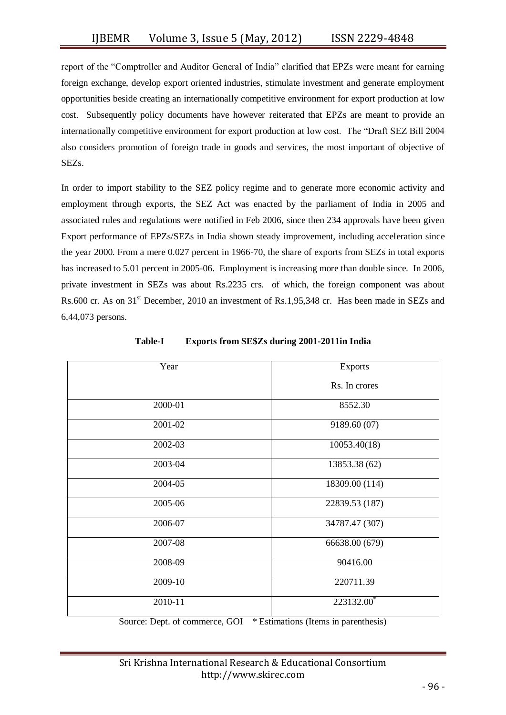report of the "Comptroller and Auditor General of India" clarified that EPZs were meant for earning foreign exchange, develop export oriented industries, stimulate investment and generate employment opportunities beside creating an internationally competitive environment for export production at low cost. Subsequently policy documents have however reiterated that EPZs are meant to provide an internationally competitive environment for export production at low cost. The "Draft SEZ Bill 2004 also considers promotion of foreign trade in goods and services, the most important of objective of SEZs.

In order to import stability to the SEZ policy regime and to generate more economic activity and employment through exports, the SEZ Act was enacted by the parliament of India in 2005 and associated rules and regulations were notified in Feb 2006, since then 234 approvals have been given Export performance of EPZs/SEZs in India shown steady improvement, including acceleration since the year 2000. From a mere 0.027 percent in 1966-70, the share of exports from SEZs in total exports has increased to 5.01 percent in 2005-06. Employment is increasing more than double since. In 2006, private investment in SEZs was about Rs.2235 crs. of which, the foreign component was about Rs.600 cr. As on 31<sup>st</sup> December, 2010 an investment of Rs.1,95,348 cr. Has been made in SEZs and 6,44,073 persons.

| Year    | <b>Exports</b> |  |
|---------|----------------|--|
|         | Rs. In crores  |  |
| 2000-01 | 8552.30        |  |
| 2001-02 | 9189.60 (07)   |  |
| 2002-03 | 10053.40(18)   |  |
| 2003-04 | 13853.38 (62)  |  |
| 2004-05 | 18309.00 (114) |  |
| 2005-06 | 22839.53 (187) |  |
| 2006-07 | 34787.47 (307) |  |
| 2007-08 | 66638.00 (679) |  |
| 2008-09 | 90416.00       |  |
| 2009-10 | 220711.39      |  |
| 2010-11 | $223132.00^*$  |  |

**Table-I Exports from SE\$Zs during 2001-2011in India**

Source: Dept. of commerce, GOI \* Estimations (Items in parenthesis)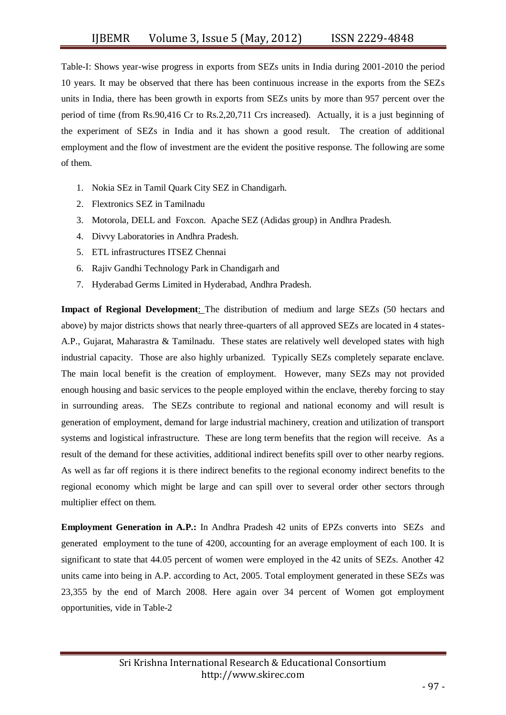Table-I: Shows year-wise progress in exports from SEZs units in India during 2001-2010 the period 10 years. It may be observed that there has been continuous increase in the exports from the SEZs units in India, there has been growth in exports from SEZs units by more than 957 percent over the period of time (from Rs.90,416 Cr to Rs.2,20,711 Crs increased). Actually, it is a just beginning of the experiment of SEZs in India and it has shown a good result. The creation of additional employment and the flow of investment are the evident the positive response. The following are some of them.

- 1. Nokia SEz in Tamil Quark City SEZ in Chandigarh.
- 2. Flextronics SEZ in Tamilnadu
- 3. Motorola, DELL and Foxcon. Apache SEZ (Adidas group) in Andhra Pradesh.
- 4. Divvy Laboratories in Andhra Pradesh.
- 5. ETL infrastructures ITSEZ Chennai
- 6. Rajiv Gandhi Technology Park in Chandigarh and
- 7. Hyderabad Germs Limited in Hyderabad, Andhra Pradesh.

**Impact of Regional Development**: The distribution of medium and large SEZs (50 hectars and above) by major districts shows that nearly three-quarters of all approved SEZs are located in 4 states-A.P., Gujarat, Maharastra & Tamilnadu. These states are relatively well developed states with high industrial capacity. Those are also highly urbanized. Typically SEZs completely separate enclave. The main local benefit is the creation of employment. However, many SEZs may not provided enough housing and basic services to the people employed within the enclave, thereby forcing to stay in surrounding areas. The SEZs contribute to regional and national economy and will result is generation of employment, demand for large industrial machinery, creation and utilization of transport systems and logistical infrastructure. These are long term benefits that the region will receive. As a result of the demand for these activities, additional indirect benefits spill over to other nearby regions. As well as far off regions it is there indirect benefits to the regional economy indirect benefits to the regional economy which might be large and can spill over to several order other sectors through multiplier effect on them.

**Employment Generation in A.P.:** In Andhra Pradesh 42 units of EPZs converts into SEZs and generated employment to the tune of 4200, accounting for an average employment of each 100. It is significant to state that 44.05 percent of women were employed in the 42 units of SEZs. Another 42 units came into being in A.P. according to Act, 2005. Total employment generated in these SEZs was 23,355 by the end of March 2008. Here again over 34 percent of Women got employment opportunities, vide in Table-2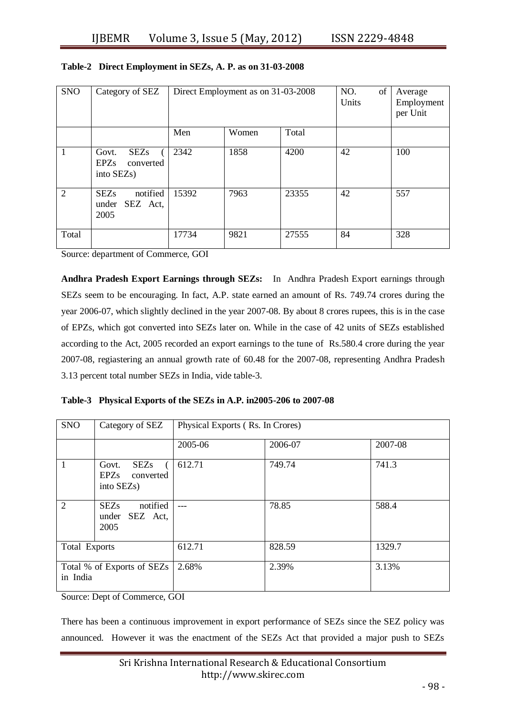| <b>SNO</b>     | Category of SEZ                                                             | Direct Employment as on 31-03-2008 |       |       | NO.<br>of<br>Units | Average<br>Employment<br>per Unit |
|----------------|-----------------------------------------------------------------------------|------------------------------------|-------|-------|--------------------|-----------------------------------|
|                |                                                                             | Men                                | Women | Total |                    |                                   |
| $\overline{1}$ | <b>SEZs</b><br>Govt.<br><b>EPZs</b><br>converted<br>into SEZ <sub>s</sub> ) | 2342                               | 1858  | 4200  | 42                 | 100                               |
| 2              | notified<br><b>SEZs</b><br>SEZ Act,<br>under<br>2005                        | 15392                              | 7963  | 23355 | 42                 | 557                               |
| Total          |                                                                             | 17734                              | 9821  | 27555 | 84                 | 328                               |

## **Table-2 Direct Employment in SEZs, A. P. as on 31-03-2008**

Source: department of Commerce, GOI

**Andhra Pradesh Export Earnings through SEZs:** In Andhra Pradesh Export earnings through SEZs seem to be encouraging. In fact, A.P. state earned an amount of Rs. 749.74 crores during the year 2006-07, which slightly declined in the year 2007-08. By about 8 crores rupees, this is in the case of EPZs, which got converted into SEZs later on. While in the case of 42 units of SEZs established according to the Act, 2005 recorded an export earnings to the tune of Rs.580.4 crore during the year 2007-08, regiastering an annual growth rate of 60.48 for the 2007-08, representing Andhra Pradesh 3.13 percent total number SEZs in India, vide table-3.

|  |  |  |  |  |  | Table-3 Physical Exports of the SEZs in A.P. in 2005-206 to 2007-08 |  |
|--|--|--|--|--|--|---------------------------------------------------------------------|--|
|--|--|--|--|--|--|---------------------------------------------------------------------|--|

| <b>SNO</b>                             | Category of SEZ                                                   | Physical Exports (Rs. In Crores) |         |         |  |
|----------------------------------------|-------------------------------------------------------------------|----------------------------------|---------|---------|--|
|                                        |                                                                   | 2005-06                          | 2006-07 | 2007-08 |  |
| 1                                      | <b>SEZs</b><br>Govt.<br>EPZs converted<br>into SEZ <sub>s</sub> ) | 612.71                           | 749.74  | 741.3   |  |
| $\overline{2}$                         | notified<br><b>SEZs</b><br>under<br>SEZ Act,<br>2005              |                                  | 78.85   | 588.4   |  |
| <b>Total Exports</b>                   |                                                                   | 612.71                           | 828.59  | 1329.7  |  |
| Total % of Exports of SEZs<br>in India |                                                                   | 2.68%                            | 2.39%   | 3.13%   |  |

Source: Dept of Commerce, GOI

There has been a continuous improvement in export performance of SEZs since the SEZ policy was announced. However it was the enactment of the SEZs Act that provided a major push to SEZs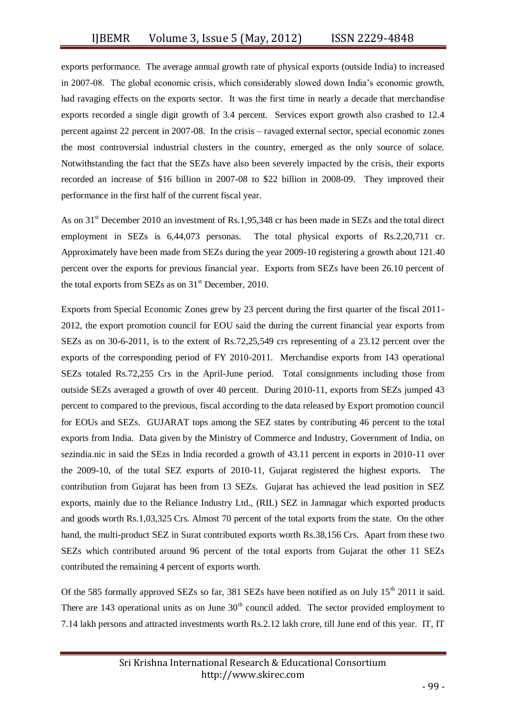exports performance. The average annual growth rate of physical exports (outside India) to increased in 2007-08. The global economic crisis, which considerably slowed down India's economic growth, had ravaging effects on the exports sector. It was the first time in nearly a decade that merchandise exports recorded a single digit growth of 3.4 percent. Services export growth also crashed to 12.4 percent against 22 percent in 2007-08. In the crisis – ravaged external sector, special economic zones the most controversial industrial clusters in the country, emerged as the only source of solace. Notwithstanding the fact that the SEZs have also been severely impacted by the crisis, their exports recorded an increase of \$16 billion in 2007-08 to \$22 billion in 2008-09. They improved their performance in the first half of the current fiscal year.

As on 31<sup>st</sup> December 2010 an investment of Rs.1,95,348 cr has been made in SEZs and the total direct employment in SEZs is 6,44,073 personas. The total physical exports of Rs.2,20,711 cr. Approximately have been made from SEZs during the year 2009-10 registering a growth about 121.40 percent over the exports for previous financial year. Exports from SEZs have been 26.10 percent of the total exports from SEZs as on  $31<sup>st</sup>$  December, 2010.

Exports from Special Economic Zones grew by 23 percent during the first quarter of the fiscal 2011- 2012, the export promotion council for EOU said the during the current financial year exports from SEZs as on 30-6-2011, is to the extent of Rs.72,25,549 crs representing of a 23.12 percent over the exports of the corresponding period of FY 2010-2011. Merchandise exports from 143 operational SEZs totaled Rs.72,255 Crs in the April-June period. Total consignments including those from outside SEZs averaged a growth of over 40 percent. During 2010-11, exports from SEZs jumped 43 percent to compared to the previous, fiscal according to the data released by Export promotion council for EOUs and SEZs. GUJARAT tops among the SEZ states by contributing 46 percent to the total exports from India. Data given by the Ministry of Commerce and Industry, Government of India, on sezindia.nic in said the SEzs in India recorded a growth of 43.11 percent in exports in 2010-11 over the 2009-10, of the total SEZ exports of 2010-11, Gujarat registered the highest exports. The contribution from Gujarat has been from 13 SEZs. Gujarat has achieved the lead position in SEZ exports, mainly due to the Reliance Industry Ltd., (RIL) SEZ in Jamnagar which exported products and goods worth Rs.1,03,325 Crs. Almost 70 percent of the total exports from the state. On the other hand, the multi-product SEZ in Surat contributed exports worth Rs.38,156 Crs. Apart from these two SEZs which contributed around 96 percent of the total exports from Gujarat the other 11 SEZs contributed the remaining 4 percent of exports worth.

Of the 585 formally approved SEZs so far, 381 SEZs have been notified as on July  $15^{th}$  2011 it said. There are 143 operational units as on June  $30<sup>th</sup>$  council added. The sector provided employment to 7.14 lakh persons and attracted investments worth Rs.2.12 lakh crore, till June end of this year. IT, IT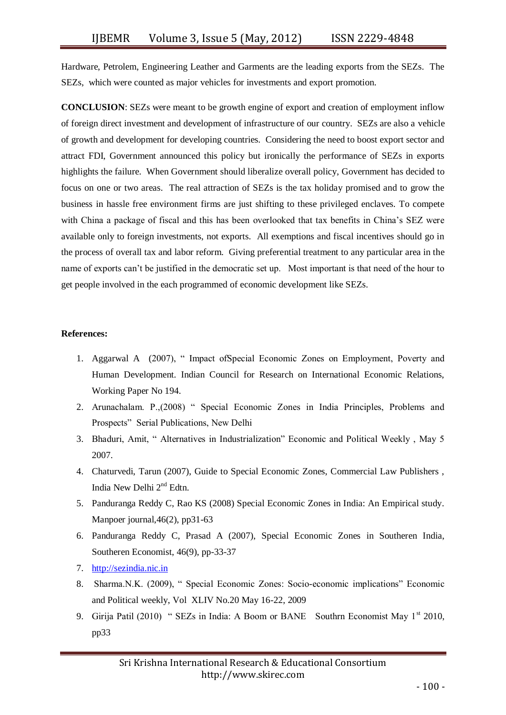Hardware, Petrolem, Engineering Leather and Garments are the leading exports from the SEZs. The SEZs, which were counted as major vehicles for investments and export promotion.

**CONCLUSION**: SEZs were meant to be growth engine of export and creation of employment inflow of foreign direct investment and development of infrastructure of our country. SEZs are also a vehicle of growth and development for developing countries. Considering the need to boost export sector and attract FDI, Government announced this policy but ironically the performance of SEZs in exports highlights the failure. When Government should liberalize overall policy, Government has decided to focus on one or two areas. The real attraction of SEZs is the tax holiday promised and to grow the business in hassle free environment firms are just shifting to these privileged enclaves. To compete with China a package of fiscal and this has been overlooked that tax benefits in China's SEZ were available only to foreign investments, not exports. All exemptions and fiscal incentives should go in the process of overall tax and labor reform. Giving preferential treatment to any particular area in the name of exports can't be justified in the democratic set up. Most important is that need of the hour to get people involved in the each programmed of economic development like SEZs.

## **References:**

- 1. Aggarwal A (2007), " Impact ofSpecial Economic Zones on Employment, Poverty and Human Development. Indian Council for Research on International Economic Relations, Working Paper No 194.
- 2. Arunachalam. P.,(2008) " Special Economic Zones in India Principles, Problems and Prospects" Serial Publications, New Delhi
- 3. Bhaduri, Amit, " Alternatives in Industrialization" Economic and Political Weekly , May 5 2007.
- 4. Chaturvedi, Tarun (2007), Guide to Special Economic Zones, Commercial Law Publishers , India New Delhi 2nd Edtn.
- 5. Panduranga Reddy C, Rao KS (2008) Special Economic Zones in India: An Empirical study. Manpoer journal, 46(2), pp31-63
- 6. Panduranga Reddy C, Prasad A (2007), Special Economic Zones in Southeren India, Southeren Economist, 46(9), pp-33-37
- 7. [http://sezindia.nic.in](http://sezindia.nic.in/)
- 8. Sharma.N.K. (2009), " Special Economic Zones: Socio-economic implications" Economic and Political weekly, Vol XLIV No.20 May 16-22, 2009
- 9. Girija Patil (2010) " SEZs in India: A Boom or BANE Southrn Economist May  $1^{st}$  2010, pp33